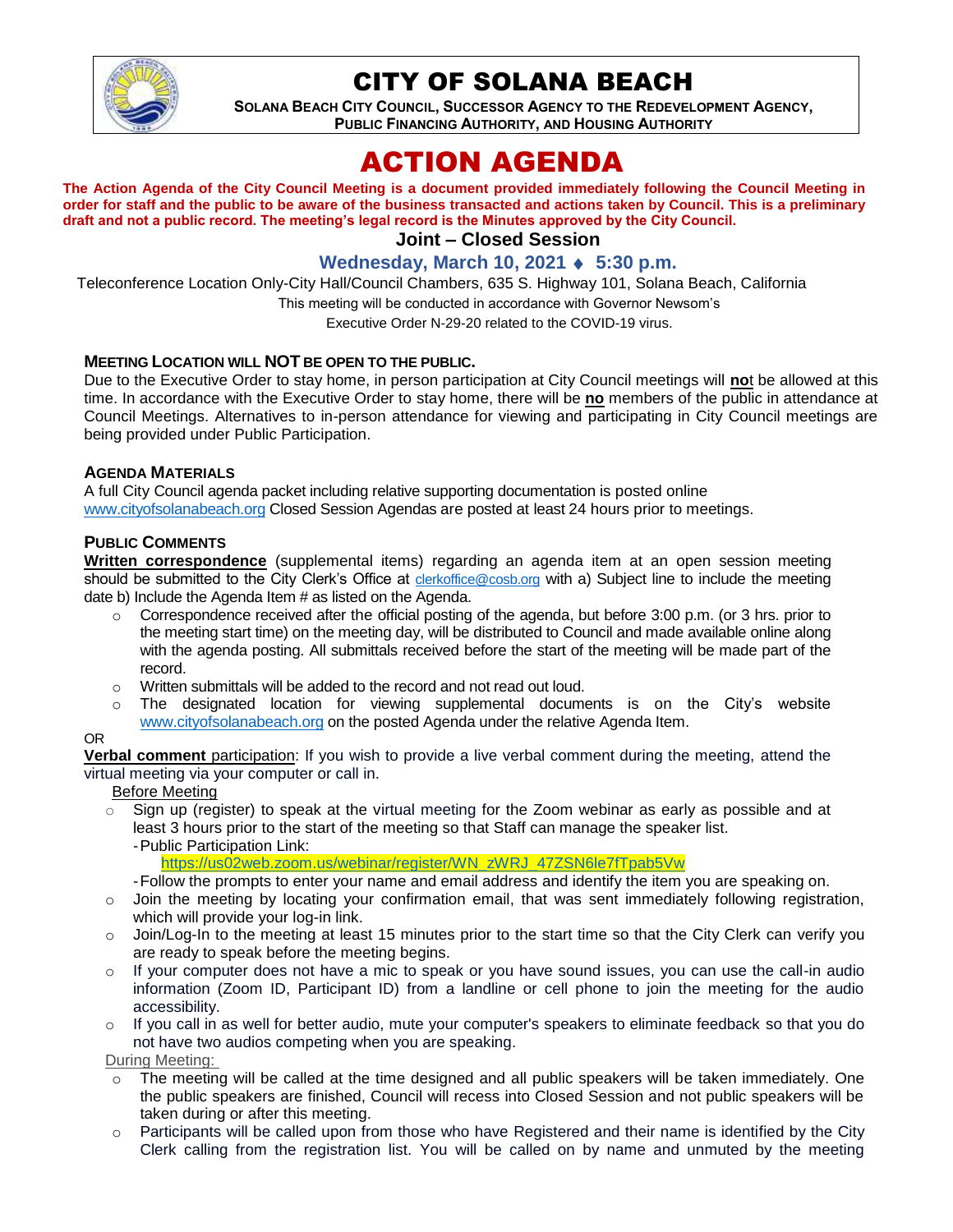

# CITY OF SOLANA BEACH

**SOLANA BEACH CITY COUNCIL, SUCCESSOR AGENCY TO THE REDEVELOPMENT AGENCY, PUBLIC FINANCING AUTHORITY, AND HOUSING AUTHORITY CITY OF SOLANA BEACH**<br>SOLANA BEACH CITY COUNCIL, SUCCESSOR AGENCY TO THE REDEVELOPMENT AGENCY,<br>PUBLIC FINANCING AUTHORITY, AND HOUSING AUTHORITY

# ACTION AGENDA

**The Action Agenda of the City Council Meeting is a document provided immediately following the Council Meeting in order for staff and the public to be aware of the business transacted and actions taken by Council. This is a preliminary draft and not a public record. The meeting's legal record is the Minutes approved by the City Council.**

### **Joint – Closed Session**

# **Wednesday, March 10, 2021 ♦ 5:30 p.m.**

Teleconference Location Only-City Hall/Council Chambers, 635 S. Highway 101, Solana Beach, California

This meeting will be conducted in accordance with Governor Newsom's

Executive Order N-29-20 related to the COVID-19 virus.

#### **MEETING LOCATION WILL NOT BE OPEN TO THE PUBLIC.**

Due to the Executive Order to stay home, in person participation at City Council meetings will **no**t be allowed at this time. In accordance with the Executive Order to stay home, there will be **no** members of the public in attendance at Council Meetings. Alternatives to in-person attendance for viewing and participating in City Council meetings are being provided under Public Participation.

#### **AGENDA MATERIALS**

A full City Council agenda packet including relative supporting documentation is posted online [www.cityofsolanabeach.org](https://urldefense.proofpoint.com/v2/url?u=http-3A__www.cityofsolanabeach.org&d=DwQFAg&c=euGZstcaTDllvimEN8b7jXrwqOf-v5A_CdpgnVfiiMM&r=1XAsCUuqwK_tji2t0s1uIQ&m=wny2RVfZJ2tN24LkqZmkUWNpwL_peNtTZUBlTBZiMM4&s=6ATguqxJUOD7VVtloplAbyuyNaVcEh6Fl4q1iw55lCY&e=) Closed Session Agendas are posted at least 24 hours prior to meetings.

#### **PUBLIC COMMENTS**

**Written correspondence** (supplemental items) regarding an agenda item at an open session meeting should be submitted to the City Clerk's Office at [clerkoffice@cosb.org](mailto:clerkoffice@cosb.org) with a) Subject line to include the meeting date b) Include the Agenda Item # as listed on the Agenda.

- $\circ$  Correspondence received after the official posting of the agenda, but before 3:00 p.m. (or 3 hrs. prior to the meeting start time) on the meeting day, will be distributed to Council and made available online along with the agenda posting. All submittals received before the start of the meeting will be made part of the record.
- o Written submittals will be added to the record and not read out loud.
- $\circ$  The designated location for viewing supplemental documents is on the City's website [www.cityofsolanabeach.org](http://www.cityofsolanabeach.org/) on the posted Agenda under the relative Agenda Item.

#### OR

**Verbal comment** participation: If you wish to provide a live verbal comment during the meeting, attend the virtual meeting via your computer or call in.

#### Before Meeting

 $\circ$  Sign up (register) to speak at the virtual meeting for the Zoom webinar as early as possible and at least 3 hours prior to the start of the meeting so that Staff can manage the speaker list. -Public Participation Link:

[https://us02web.zoom.us/webinar/register/WN\\_zWRJ\\_47ZSN6le7fTpab5Vw](https://us02web.zoom.us/webinar/register/WN_zWRJ_47ZSN6le7fTpab5Vw)

- -Follow the prompts to enter your name and email address and identify the item you are speaking on.
- o Join the meeting by locating your confirmation email, that was sent immediately following registration, which will provide your log-in link.
- $\circ$  Join/Log-In to the meeting at least 15 minutes prior to the start time so that the City Clerk can verify you are ready to speak before the meeting begins.
- o If your computer does not have a mic to speak or you have sound issues, you can use the call-in audio information (Zoom ID, Participant ID) from a landline or cell phone to join the meeting for the audio accessibility.

o If you call in as well for better audio, mute your computer's speakers to eliminate feedback so that you do not have two audios competing when you are speaking.

During Meeting:

- The meeting will be called at the time designed and all public speakers will be taken immediately. One the public speakers are finished, Council will recess into Closed Session and not public speakers will be taken during or after this meeting.
- Participants will be called upon from those who have Registered and their name is identified by the City Clerk calling from the registration list. You will be called on by name and unmuted by the meeting